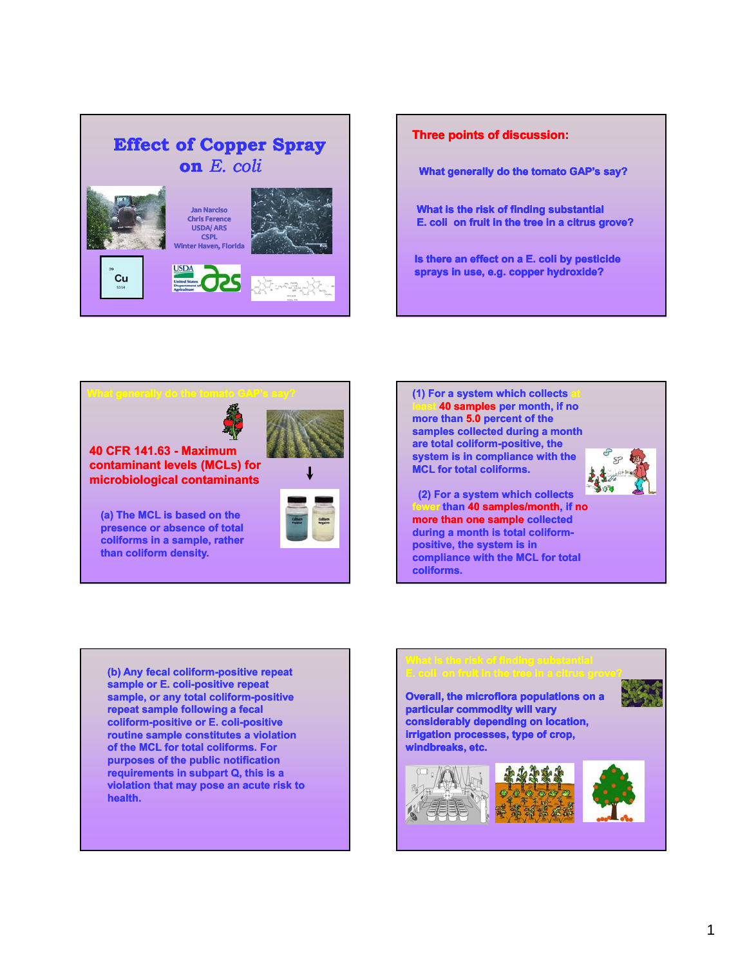







**(2) For a system which collects fewer than 40 samples/month, if no more than one sample collected**  during a month is total coliform**positive, the system is in compliance with the MCL for total coliforms.**

**(b) Any fecal coliform coliform-positive repeat positive**  sample or E. coli-positive repeat sample, or any total coliform-positive **repeat sample following a fecal coliform coliform-positive or E. coli positive coli-positive positive routine sample constitutes a violation of the MCL for total coliforms. For purposes of the public notification requirements in subpart Q, this is a violation that may pose an acute risk to health.**

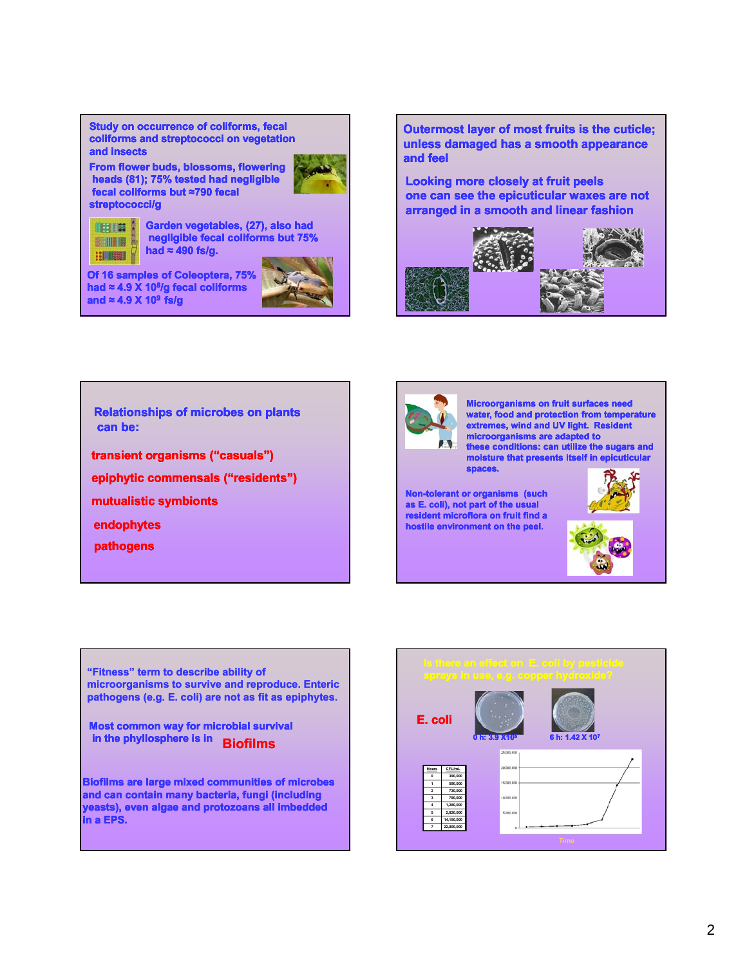**Study on occurrence of coliforms, fecal coliforms and streptococci on vegetation and insects**

**From flower buds, blossoms, flowering heads (81); 75% tested had negligible fecal coliforms but ≈790 fecal streptococci/g**



**REELBY A** 翻删影局

**Garden vegetables, (27), also had negligible fecal coliforms but 75% had ≈ 490 fs/g. HUEST** 

**Of 16 samples of Coleoptera, 75% had ≈ 4.9 X 108/g fecal coliforms and ≈ 4.9 X 109 fs/g**

**Outermost layer of most fruits is the cuticle; unless damaged has a smooth appearance and feel**

**Looking more closely at fruit peels one can see the epicuticular waxes are not arranged in a smooth and linear fashion** 



**Relationships of microbes on plants can be:** 

**transient organisms ("casuals")**

**epiphytic commensals ("residents")** 

**mutualistic symbionts**

**endophytes**

**pathogens**



**Microorganisms on fruit surfaces need water, food and protection from temperature extremes, wind and UV light. Resident microorganisms are adapted to these conditions: can utilize the sugars and moisture that presents itself in epicuticular spaces.** 

**Non-tolerant or organisms (such as E. coli), not part of the usual resident microflora on fruit find a hostile environment on the peel.**



**"Fitness" term to describe ability of microorganisms to survive and reproduce. Enteric pathogens (e.g. E. coli) are not as fit as epiphytes.** 

**Most common way for microbial survival in the phyllosphere is in Biofilms**

**Biofilms are large mixed communities of microbes and can contain many bacteria, fungi (including yeasts), even algae and protozoans all imbedded in a EPS.**